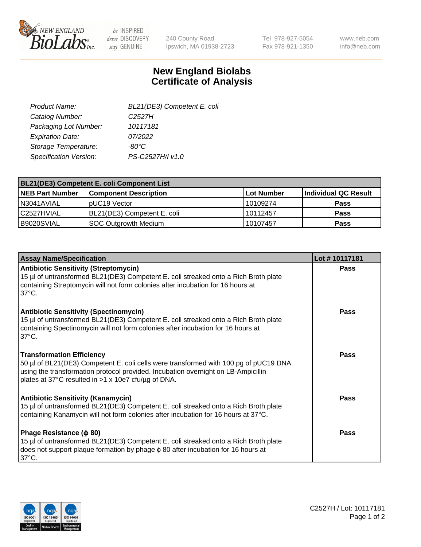

 $be$  INSPIRED drive DISCOVERY stay GENUINE

240 County Road Ipswich, MA 01938-2723 Tel 978-927-5054 Fax 978-921-1350 www.neb.com info@neb.com

## **New England Biolabs Certificate of Analysis**

| BL21(DE3) Competent E. coli |
|-----------------------------|
| C <sub>2527</sub> H         |
| 10117181                    |
| 07/2022                     |
| $-80^{\circ}$ C             |
| PS-C2527H/I v1.0            |
|                             |

| <b>BL21(DE3) Competent E. coli Component List</b> |                              |             |                      |  |
|---------------------------------------------------|------------------------------|-------------|----------------------|--|
| <b>NEB Part Number</b>                            | <b>Component Description</b> | ∣Lot Number | Individual QC Result |  |
| N3041AVIAL                                        | pUC19 Vector                 | 10109274    | <b>Pass</b>          |  |
| l C2527HVIAL                                      | BL21(DE3) Competent E. coli  | 10112457    | <b>Pass</b>          |  |
| B9020SVIAL                                        | SOC Outgrowth Medium         | 10107457    | <b>Pass</b>          |  |

| <b>Assay Name/Specification</b>                                                                                                                                                                                                                                      | Lot #10117181 |
|----------------------------------------------------------------------------------------------------------------------------------------------------------------------------------------------------------------------------------------------------------------------|---------------|
| <b>Antibiotic Sensitivity (Streptomycin)</b><br>15 µl of untransformed BL21(DE3) Competent E. coli streaked onto a Rich Broth plate<br>containing Streptomycin will not form colonies after incubation for 16 hours at<br>$37^{\circ}$ C.                            | <b>Pass</b>   |
| <b>Antibiotic Sensitivity (Spectinomycin)</b><br>15 µl of untransformed BL21(DE3) Competent E. coli streaked onto a Rich Broth plate<br>containing Spectinomycin will not form colonies after incubation for 16 hours at<br>$37^{\circ}$ C.                          | Pass          |
| <b>Transformation Efficiency</b><br>50 µl of BL21(DE3) Competent E. coli cells were transformed with 100 pg of pUC19 DNA<br>using the transformation protocol provided. Incubation overnight on LB-Ampicillin<br>plates at 37°C resulted in >1 x 10e7 cfu/µg of DNA. | Pass          |
| <b>Antibiotic Sensitivity (Kanamycin)</b><br>15 µl of untransformed BL21(DE3) Competent E. coli streaked onto a Rich Broth plate<br>containing Kanamycin will not form colonies after incubation for 16 hours at 37°C.                                               | Pass          |
| Phage Resistance ( $\phi$ 80)<br>15 µl of untransformed BL21(DE3) Competent E. coli streaked onto a Rich Broth plate<br>does not support plaque formation by phage $\phi$ 80 after incubation for 16 hours at<br>$37^{\circ}$ C.                                     | Pass          |